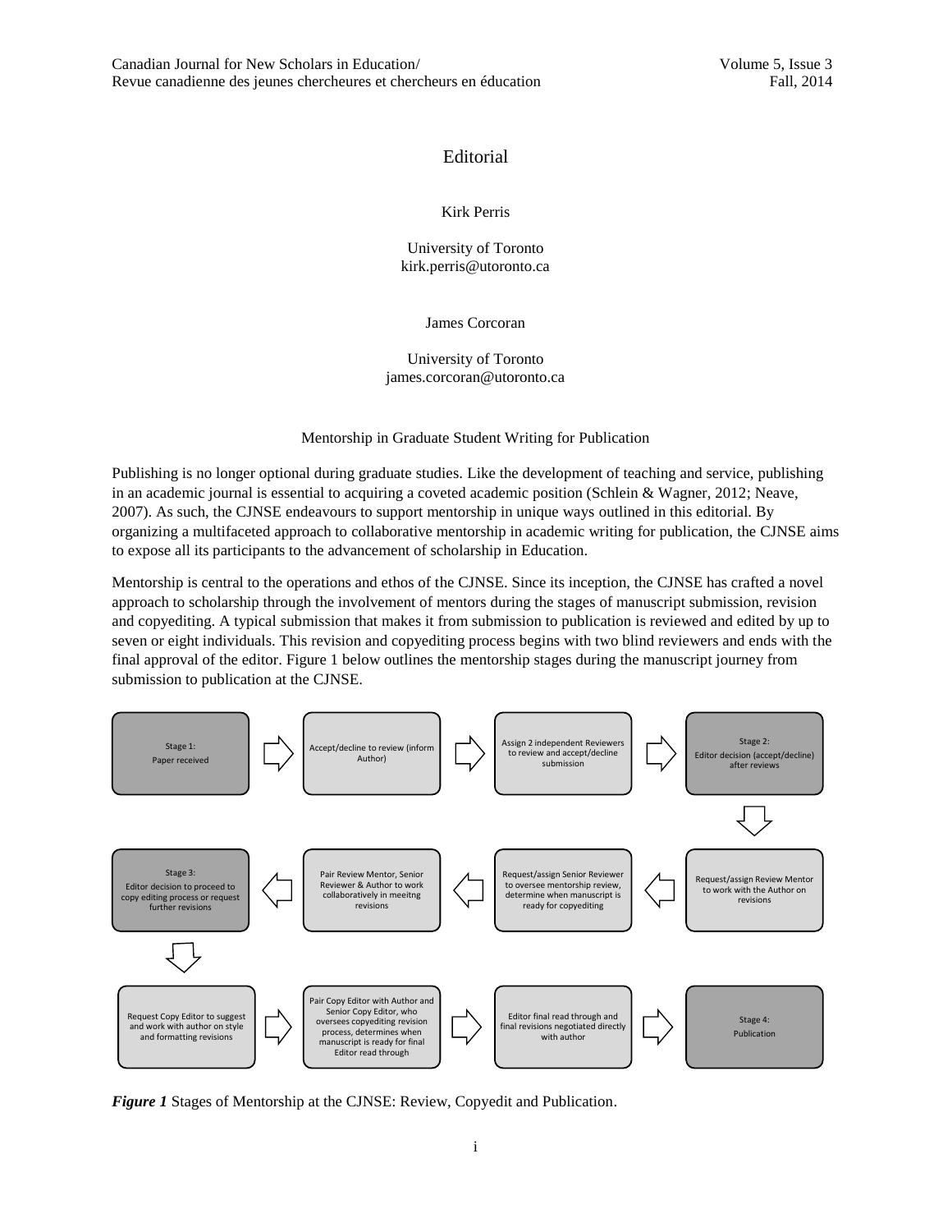## Editorial

## Kirk Perris

University of Toronto kirk.perris@utoronto.ca

James Corcoran

University of Toronto james.corcoran@utoronto.ca

Mentorship in Graduate Student Writing for Publication

Publishing is no longer optional during graduate studies. Like the development of teaching and service, publishing in an academic journal is essential to acquiring a coveted academic position (Schlein & Wagner, 2012; Neave, 2007). As such, the CJNSE endeavours to support mentorship in unique ways outlined in this editorial. By organizing a multifaceted approach to collaborative mentorship in academic writing for publication, the CJNSE aims to expose all its participants to the advancement of scholarship in Education.

Mentorship is central to the operations and ethos of the CJNSE. Since its inception, the CJNSE has crafted a novel approach to scholarship through the involvement of mentors during the stages of manuscript submission, revision and copyediting. A typical submission that makes it from submission to publication is reviewed and edited by up to seven or eight individuals. This revision and copyediting process begins with two blind reviewers and ends with the final approval of the editor. Figure 1 below outlines the mentorship stages during the manuscript journey from submission to publication at the CJNSE.



*Figure 1* Stages of Mentorship at the CJNSE: Review, Copyedit and Publication.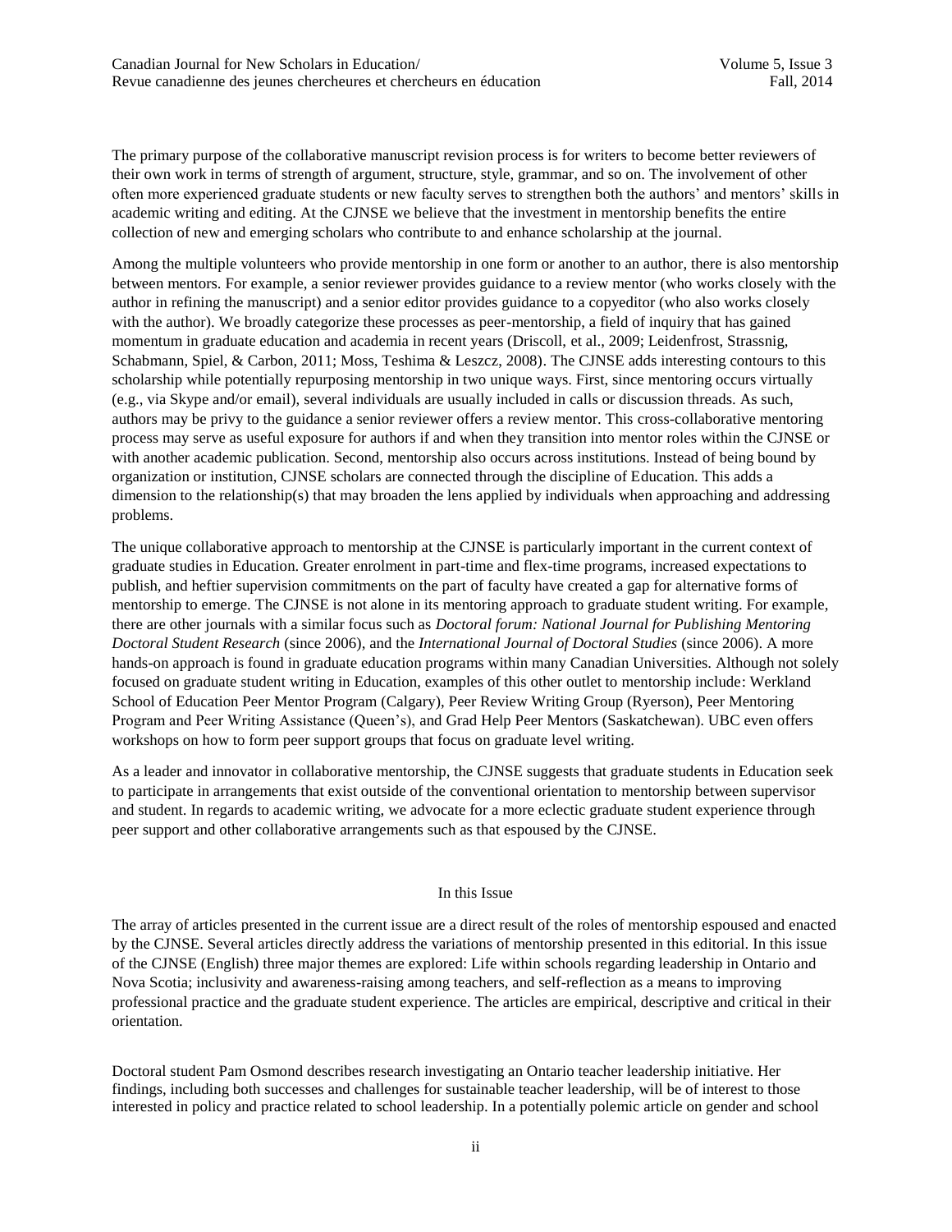The primary purpose of the collaborative manuscript revision process is for writers to become better reviewers of their own work in terms of strength of argument, structure, style, grammar, and so on. The involvement of other often more experienced graduate students or new faculty serves to strengthen both the authors' and mentors' skills in academic writing and editing. At the CJNSE we believe that the investment in mentorship benefits the entire collection of new and emerging scholars who contribute to and enhance scholarship at the journal.

Among the multiple volunteers who provide mentorship in one form or another to an author, there is also mentorship between mentors. For example, a senior reviewer provides guidance to a review mentor (who works closely with the author in refining the manuscript) and a senior editor provides guidance to a copyeditor (who also works closely with the author). We broadly categorize these processes as peer-mentorship, a field of inquiry that has gained momentum in graduate education and academia in recent years (Driscoll, et al., 2009; Leidenfrost, Strassnig, Schabmann, Spiel, & Carbon, 2011; Moss, Teshima & Leszcz, 2008). The CJNSE adds interesting contours to this scholarship while potentially repurposing mentorship in two unique ways. First, since mentoring occurs virtually (e.g., via Skype and/or email), several individuals are usually included in calls or discussion threads. As such, authors may be privy to the guidance a senior reviewer offers a review mentor. This cross-collaborative mentoring process may serve as useful exposure for authors if and when they transition into mentor roles within the CJNSE or with another academic publication. Second, mentorship also occurs across institutions. Instead of being bound by organization or institution, CJNSE scholars are connected through the discipline of Education. This adds a dimension to the relationship(s) that may broaden the lens applied by individuals when approaching and addressing problems.

The unique collaborative approach to mentorship at the CJNSE is particularly important in the current context of graduate studies in Education. Greater enrolment in part-time and flex-time programs, increased expectations to publish, and heftier supervision commitments on the part of faculty have created a gap for alternative forms of mentorship to emerge. The CJNSE is not alone in its mentoring approach to graduate student writing. For example, there are other journals with a similar focus such as *[Doctoral forum: National Journal for Publishing Mentoring](http://search.library.utoronto.ca/details?8931075&uuid=2c501943-6281-43b0-99ae-aeda21d9ad6d)  [Doctoral Student Research](http://search.library.utoronto.ca/details?8931075&uuid=2c501943-6281-43b0-99ae-aeda21d9ad6d)* (since 2006), and the *International Journal of Doctoral Studies* (since 2006). A more hands-on approach is found in graduate education programs within many Canadian Universities. Although not solely focused on graduate student writing in Education, examples of this other outlet to mentorship include: Werkland School of Education Peer Mentor Program (Calgary), Peer Review Writing Group (Ryerson), Peer Mentoring Program and Peer Writing Assistance (Queen's), and Grad Help Peer Mentors (Saskatchewan). UBC even offers workshops on how to form peer support groups that focus on graduate level writing.

As a leader and innovator in collaborative mentorship, the CJNSE suggests that graduate students in Education seek to participate in arrangements that exist outside of the conventional orientation to mentorship between supervisor and student. In regards to academic writing, we advocate for a more eclectic graduate student experience through peer support and other collaborative arrangements such as that espoused by the CJNSE.

## In this Issue

The array of articles presented in the current issue are a direct result of the roles of mentorship espoused and enacted by the CJNSE. Several articles directly address the variations of mentorship presented in this editorial. In this issue of the CJNSE (English) three major themes are explored: Life within schools regarding leadership in Ontario and Nova Scotia; inclusivity and awareness-raising among teachers, and self-reflection as a means to improving professional practice and the graduate student experience. The articles are empirical, descriptive and critical in their orientation.

Doctoral student Pam Osmond describes research investigating an Ontario teacher leadership initiative. Her findings, including both successes and challenges for sustainable teacher leadership, will be of interest to those interested in policy and practice related to school leadership. In a potentially polemic article on gender and school